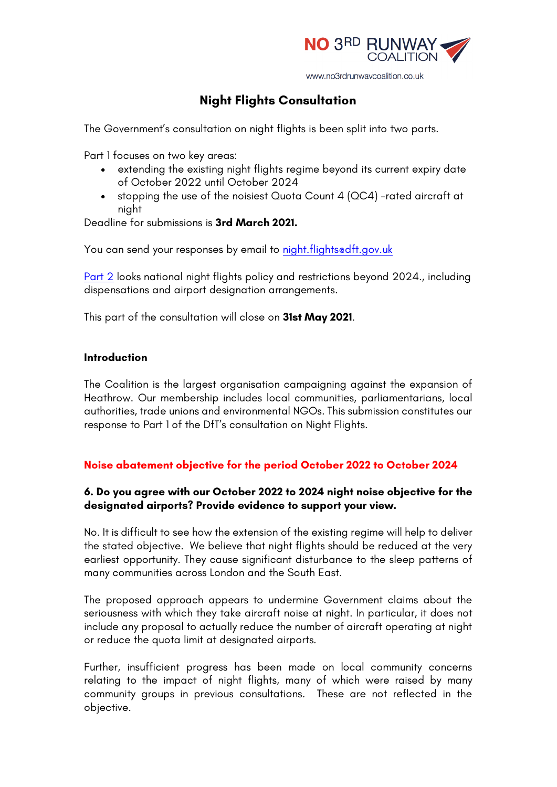

www.no3rdrunwaycoalition.co.uk

# **Night Flights Consultation**

The Government's consultation on night flights is been split into two parts.

Part 1 focuses on two key areas:

- extending the existing night flights regime beyond its current expiry date of October 2022 until October 2024
- stopping the use of the noisiest Quota Count 4 (QC4) -rated aircraft at night

Deadline for submissions is **3rd March 2021.** 

You can send your responses by email to night.flightsedft.gov.uk

Part 2 looks national night flights policy and restrictions beyond 2024., including dispensations and airport designation arrangements.

This part of the consultation will close on **31st May 2021**.

#### **Introduction**

The Coalition is the largest organisation campaigning against the expansion of Heathrow. Our membership includes local communities, parliamentarians, local authorities, trade unions and environmental NGOs. This submission constitutes our response to Part 1 of the DfT's consultation on Night Flights.

# **Noise abatement objective for the period October 2022 to October 2024**

## **6. Do you agree with our October 2022 to 2024 night noise objective for the designated airports? Provide evidence to support your view.**

No. It is difficult to see how the extension of the existing regime will help to deliver the stated objective. We believe that night flights should be reduced at the very earliest opportunity. They cause significant disturbance to the sleep patterns of many communities across London and the South East.

The proposed approach appears to undermine Government claims about the seriousness with which they take aircraft noise at night. In particular, it does not include any proposal to actually reduce the number of aircraft operating at night or reduce the quota limit at designated airports.

Further, insufficient progress has been made on local community concerns relating to the impact of night flights, many of which were raised by many community groups in previous consultations. These are not reflected in the objective.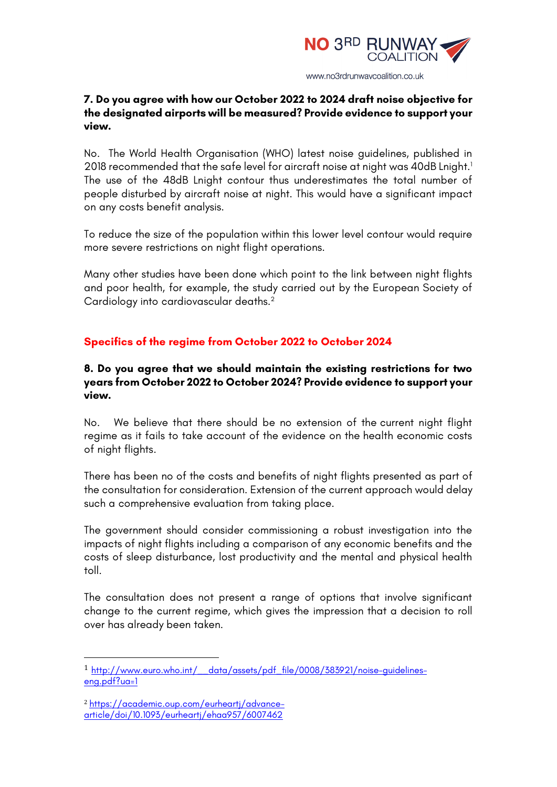

### **7. Do you agree with how our October 2022 to 2024 draft noise objective for the designated airports will be measured? Provide evidence to support your view.**

No. The World Health Organisation (WHO) latest noise guidelines, published in 2018 recommended that the safe level for aircraft noise at night was 40dB Lnight. 1 The use of the 48dB Lnight contour thus underestimates the total number of people disturbed by aircraft noise at night. This would have a significant impact on any costs benefit analysis.

To reduce the size of the population within this lower level contour would require more severe restrictions on night flight operations.

Many other studies have been done which point to the link between night flights and poor health, for example, the study carried out by the European Society of Cardiology into cardiovascular deaths.2

# **Specifics of the regime from October 2022 to October 2024**

### **8. Do you agree that we should maintain the existing restrictions for two years from October 2022 to October 2024? Provide evidence to support your view.**

No. We believe that there should be no extension of the current night flight regime as it fails to take account of the evidence on the health economic costs of night flights.

There has been no of the costs and benefits of night flights presented as part of the consultation for consideration. Extension of the current approach would delay such a comprehensive evaluation from taking place.

The government should consider commissioning a robust investigation into the impacts of night flights including a comparison of any economic benefits and the costs of sleep disturbance, lost productivity and the mental and physical health toll.

The consultation does not present a range of options that involve significant change to the current regime, which gives the impression that a decision to roll over has already been taken.

 

<sup>1</sup> http://www.euro.who.int/\_\_data/assets/pdf\_file/0008/383921/noise-guidelineseng.pdf?ua=1

<sup>2</sup> https://academic.oup.com/eurheartj/advancearticle/doi/10.1093/eurheartj/ehaa957/6007462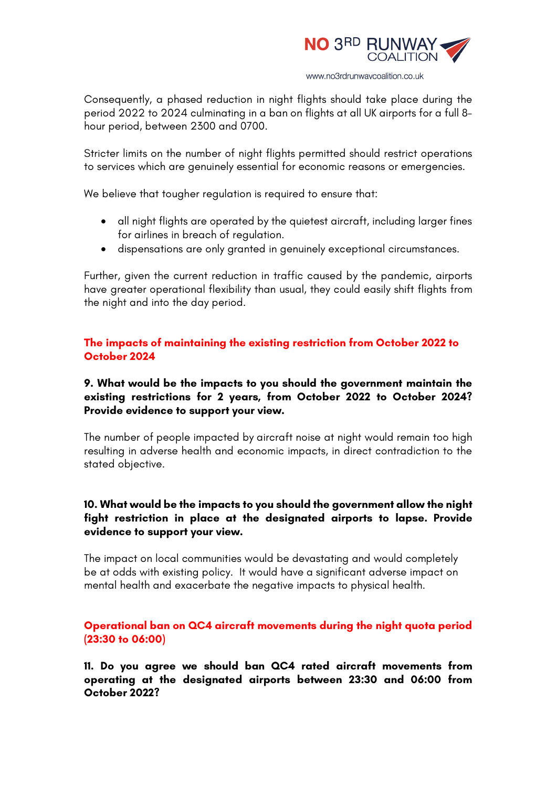

Consequently, a phased reduction in night flights should take place during the period 2022 to 2024 culminating in a ban on flights at all UK airports for a full 8 hour period, between 2300 and 0700.

Stricter limits on the number of night flights permitted should restrict operations to services which are genuinely essential for economic reasons or emergencies.

We believe that tougher regulation is required to ensure that:

- all night flights are operated by the quietest aircraft, including larger fines for airlines in breach of regulation.
- dispensations are only granted in genuinely exceptional circumstances.

Further, given the current reduction in traffic caused by the pandemic, airports have greater operational flexibility than usual, they could easily shift flights from the night and into the day period.

### **The impacts of maintaining the existing restriction from October 2022 to October 2024**

## **9. What would be the impacts to you should the government maintain the existing restrictions for 2 years, from October 2022 to October 2024? Provide evidence to support your view.**

The number of people impacted by aircraft noise at night would remain too high resulting in adverse health and economic impacts, in direct contradiction to the stated objective.

## **10. What would be the impacts to you should the government allow the night fight restriction in place at the designated airports to lapse. Provide evidence to support your view.**

The impact on local communities would be devastating and would completely be at odds with existing policy. It would have a significant adverse impact on mental health and exacerbate the negative impacts to physical health.

**Operational ban on QC4 aircraft movements during the night quota period (23:30 to 06:00)**

**11. Do you agree we should ban QC4 rated aircraft movements from operating at the designated airports between 23:30 and 06:00 from October 2022?**